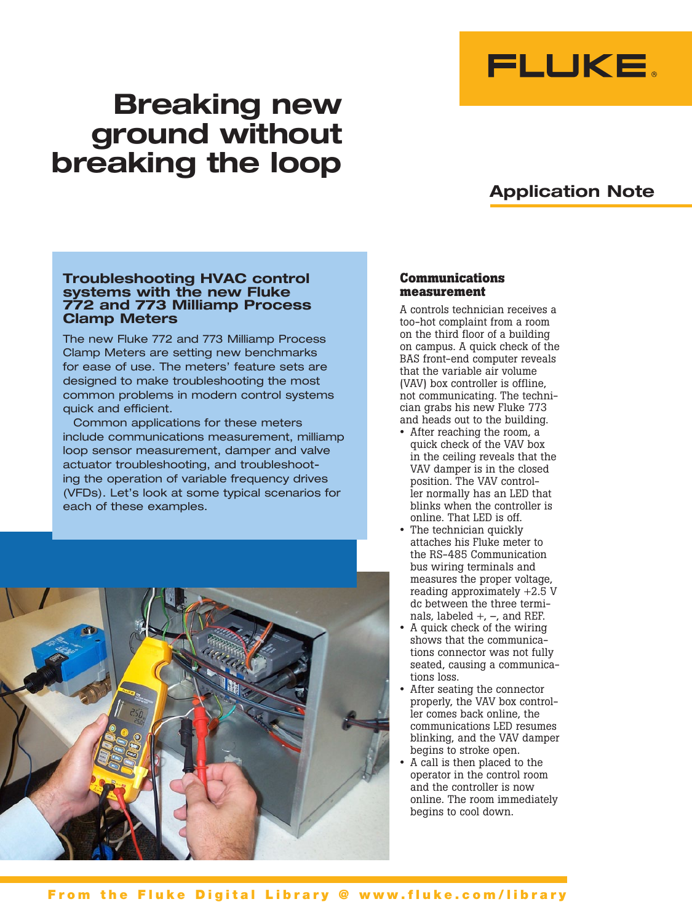

# **Breaking new ground without breaking the loop**

# **Application Note**

# **Troubleshooting HVAC control systems with the new Fluke 772 and 773 Milliamp Process Clamp Meters**

The new Fluke 772 and 773 Milliamp Process Clamp Meters are setting new benchmarks for ease of use. The meters' feature sets are designed to make troubleshooting the most common problems in modern control systems quick and efficient.

Common applications for these meters include communications measurement, milliamp loop sensor measurement, damper and valve actuator troubleshooting, and troubleshooting the operation of variable frequency drives (VFDs). Let's look at some typical scenarios for each of these examples.



### **Communications measurement**

A controls technician receives a too-hot complaint from a room on the third floor of a building on campus. A quick check of the BAS front-end computer reveals that the variable air volume (VAV) box controller is offline, not communicating. The technician grabs his new Fluke 773 and heads out to the building.

- After reaching the room, a quick check of the VAV box in the ceiling reveals that the VAV damper is in the closed position. The VAV controller normally has an LED that blinks when the controller is online. That LED is off.
- The technician quickly attaches his Fluke meter to the RS-485 Communication bus wiring terminals and measures the proper voltage, reading approximately +2.5 V dc between the three terminals, labeled +, –, and REF.
- A quick check of the wiring shows that the communications connector was not fully seated, causing a communications loss.
- After seating the connector properly, the VAV box controller comes back online, the communications LED resumes blinking, and the VAV damper begins to stroke open.
- A call is then placed to the operator in the control room and the controller is now online. The room immediately begins to cool down.